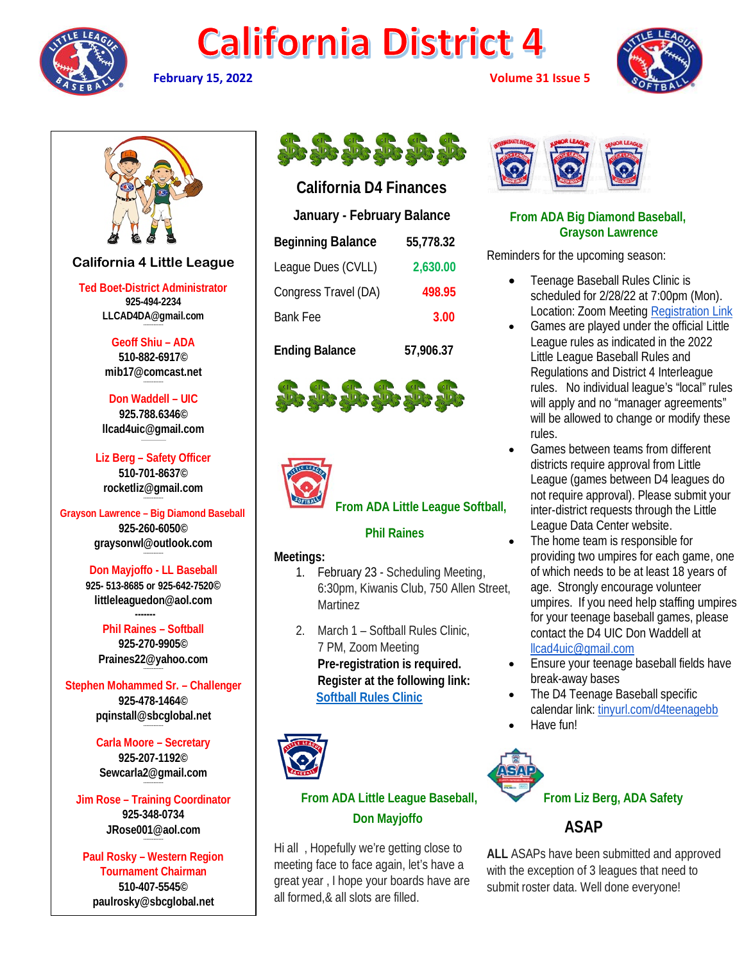







# **California 4 Little League**

**Ted Boet-District Administrator 925-494-2234 LLCAD4DA@gmail.com**

> **Geoff Shiu – ADA 510-882-6917© [mib17@comcast.net](mailto:mib17@comcast.net)**

**Don Waddell – UIC 925.788.6346© [llcad4uic@gmail.com](mailto:llcad4uic@gmail.com)**

**Liz Berg – Safety Officer 510-701-8637© [rocketliz@gmail.com](mailto:rocketliz@gmail.com)**

**Grayson Lawrence – Big Diamond Baseball 925-260-6050© graysonwl@outlook.com --------------------**

**Don Mayjoffo - LL Baseball 925- 513-8685 or 925-642-7520© littleleaguedon@aol.com -------**

**Phil Raines – Softball 925-270-9905© [Praines22@yahoo.com](mailto:Praines22@yahoo.com)**

**Stephen Mohammed Sr. – Challenger 925-478-1464© [pqinstall@sbcglobal.net](mailto:pqinstall@sbcglobal.net)**

> **Carla Moore – Secretary 925-207-1192© [Sewcarla2@gmail.com](mailto:Sewcarla2@gmail.com)**

**Jim Rose – Training Coordinator 925-348-0734 JRose001@aol.com**

**Paul Rosky – Western Region Tournament Chairman 510-407-5545© [paulrosky@sbcglobal.net](mailto:paulrosky@sbcglobal.net)**



# **California D4 Finances**

| January - February Balance |           |
|----------------------------|-----------|
| <b>Beginning Balance</b>   | 55,778.32 |
| League Dues (CVLL)         | 2,630.00  |
| Congress Travel (DA)       | 498.95    |
| <b>Bank Fee</b>            | 3.00      |
| <b>Ending Balance</b>      | 57,906.37 |



# **From ADA Little League Softball,**

#### **Phil Raines**

## **Meetings:**

- 1. February 23 Scheduling Meeting, 6:30pm, Kiwanis Club, 750 Allen Street, Martinez
- 2. March 1 Softball Rules Clinic, 7 PM, Zoom Meeting **Pre-registration is required. Register at the following link: [Softball Rules Clinic](https://us02web.zoom.us/meeting/register/tZMvduGoqz8pHtaZ7W7fjdc3x8jClcgb5Xxb)**



# **From ADA Little League Baseball, Don Mayjoffo**

Hi all , Hopefully we're getting close to meeting face to face again, let's have a great year , I hope your boards have are all formed,& all slots are filled.



# **From ADA Big Diamond Baseball, Grayson Lawrence**

Reminders for the upcoming season:

- Teenage Baseball Rules Clinic is scheduled for 2/28/22 at 7:00pm (Mon). Location: Zoom Meeting [Registration Link](https://us02web.zoom.us/meeting/register/tZ0oceCuqjMpHtcH9cr5OStWoqs50DfTbHWK)
- Games are played under the official Little League rules as indicated in the 2022 Little League Baseball Rules and Regulations and District 4 Interleague rules. No individual league's "local" rules will apply and no "manager agreements" will be allowed to change or modify these rules.
- Games between teams from different districts require approval from Little League (games between D4 leagues do not require approval). Please submit your inter-district requests through the Little League Data Center website.
- The home team is responsible for providing two umpires for each game, one of which needs to be at least 18 years of age. Strongly encourage volunteer umpires. If you need help staffing umpires for your teenage baseball games, please contact the D4 UIC Don Waddell at [llcad4uic@gmail.com](mailto:llcad4uic@gmail.com)
- **Ensure your teenage baseball fields have** break-away bases
- The D4 Teenage Baseball specific calendar link: [tinyurl.com/d4teenagebb](https://tinyurl.com/d4teenagebb)
- Have fun!



# **ASAP**

**ALL** ASAPs have been submitted and approved with the exception of 3 leagues that need to submit roster data. Well done everyone!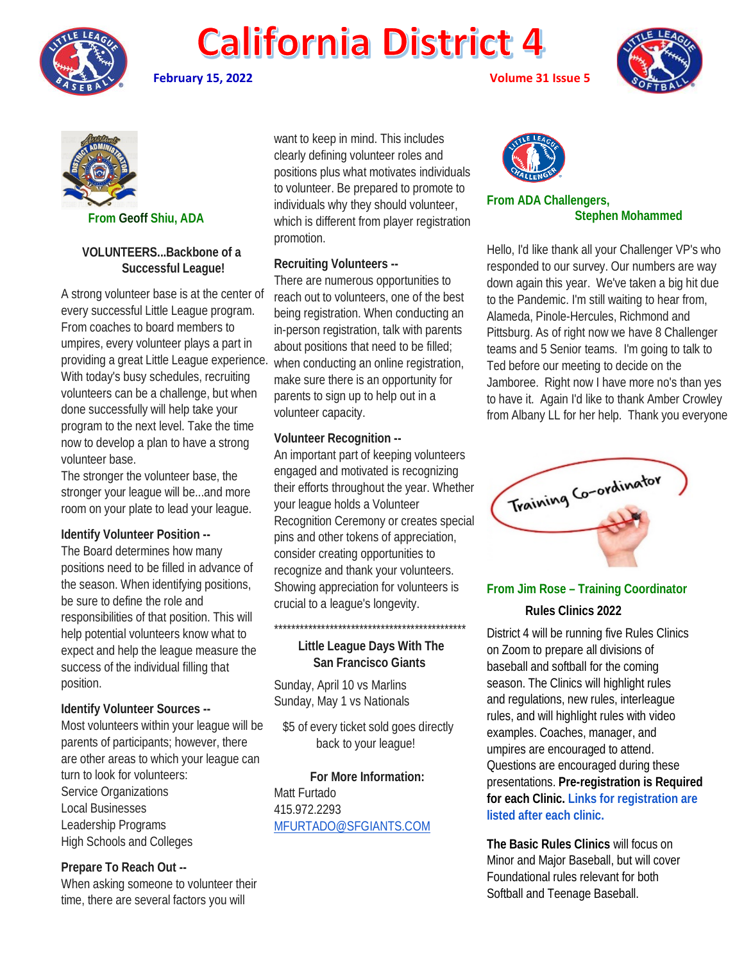

**February 15, 2022 Volume 31 Issue 5**





 **From Geoff Shiu, ADA**

### **VOLUNTEERS...Backbone of a Successful League!**

A strong volunteer base is at the center of every successful Little League program. From coaches to board members to umpires, every volunteer plays a part in providing a great Little League experience. With today's busy schedules, recruiting volunteers can be a challenge, but when done successfully will help take your program to the next level. Take the time now to develop a plan to have a strong volunteer base.

The stronger the volunteer base, the stronger your league will be...and more room on your plate to lead your league.

#### **Identify Volunteer Position --**

The Board determines how many positions need to be filled in advance of the season. When identifying positions, be sure to define the role and responsibilities of that position. This will help potential volunteers know what to expect and help the league measure the success of the individual filling that position.

#### **Identify Volunteer Sources --**

Most volunteers within your league will be parents of participants; however, there are other areas to which your league can turn to look for volunteers: Service Organizations Local Businesses Leadership Programs High Schools and Colleges

#### **Prepare To Reach Out --**

When asking someone to volunteer their time, there are several factors you will

want to keep in mind. This includes clearly defining volunteer roles and positions plus what motivates individuals to volunteer. Be prepared to promote to individuals why they should volunteer, which is different from player registration promotion.

### **Recruiting Volunteers --**

There are numerous opportunities to reach out to volunteers, one of the best being registration. When conducting an in-person registration, talk with parents about positions that need to be filled; when conducting an online registration, make sure there is an opportunity for parents to sign up to help out in a volunteer capacity.

### **Volunteer Recognition --**

An important part of keeping volunteers engaged and motivated is recognizing their efforts throughout the year. Whether your league holds a Volunteer Recognition Ceremony or creates special pins and other tokens of appreciation, consider creating opportunities to recognize and thank your volunteers. Showing appreciation for volunteers is crucial to a league's longevity.

## **Little League Days With The San Francisco Giants**

\*\*\*\*\*\*\*\*\*\*\*\*\*\*\*\*\*\*\*\*\*\*\*\*\*\*\*\*\*\*\*\*\*\*\*\*\*\*\*\*\*\*\*\*\*

Sunday, April 10 vs Marlins Sunday, May 1 vs Nationals

 \$5 of every ticket sold goes directly back to your league!

#### **For More Information:**

Matt Furtado 415.972.2293 [MFURTADO@SFGIANTS.COM](mailto:MFURTADO@SFGIANTS.COM)



#### **From ADA Challengers, Stephen Mohammed**

Hello, I'd like thank all your Challenger VP's who responded to our survey. Our numbers are way down again this year. We've taken a big hit due to the Pandemic. I'm still waiting to hear from, Alameda, Pinole-Hercules, Richmond and Pittsburg. As of right now we have 8 Challenger teams and 5 Senior teams. I'm going to talk to Ted before our meeting to decide on the Jamboree. Right now I have more no's than yes to have it. Again I'd like to thank Amber Crowley from Albany LL for her help. Thank you everyone



# **From Jim Rose – Training Coordinator Rules Clinics 2022**

District 4 will be running five Rules Clinics on Zoom to prepare all divisions of baseball and softball for the coming season. The Clinics will highlight rules and regulations, new rules, interleague rules, and will highlight rules with video examples. Coaches, manager, and umpires are encouraged to attend. Questions are encouraged during these presentations. **Pre-registration is Required for each Clinic. Links for registration are listed after each clinic.**

**The Basic Rules Clinics** will focus on Minor and Major Baseball, but will cover Foundational rules relevant for both Softball and Teenage Baseball.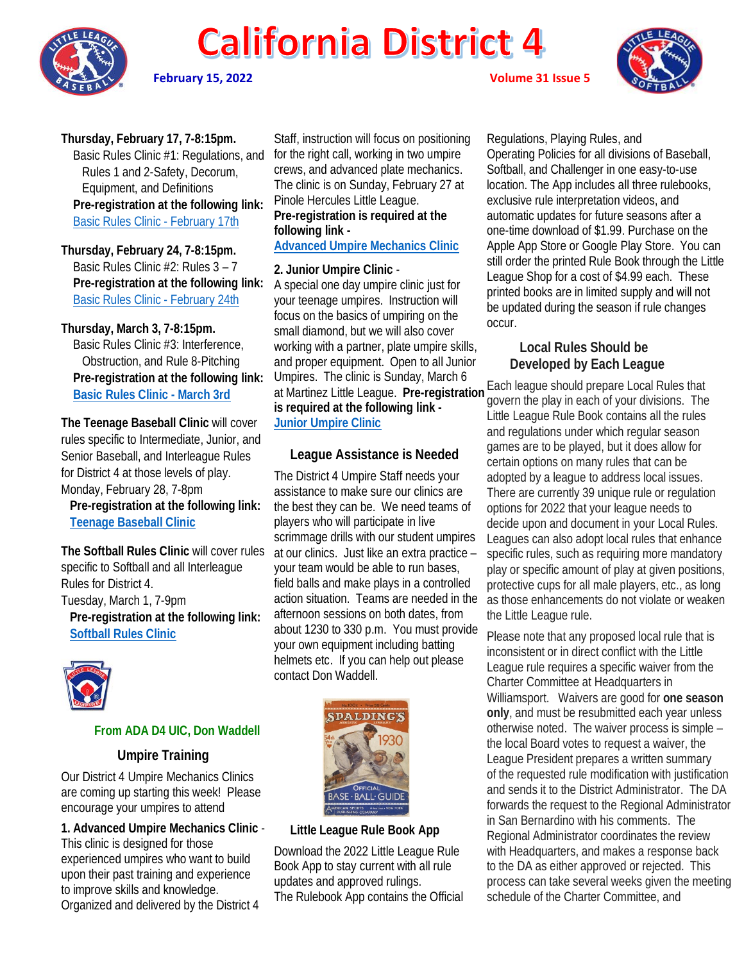

**February 15, 2022 Volume 31 Issue 5**



**Thursday, February 17, 7-8:15pm.** 

 Basic Rules Clinic #1: Regulations, and Rules 1 and 2-Safety, Decorum, Equipment, and Definitions **Pre-registration at the following link:** [Basic Rules Clinic -](https://us02web.zoom.us/meeting/register/tZEtf-uhrT8jEtxaqiCSsZIgerB-ylY99wp1) February 17th

**Thursday, February 24, 7-8:15pm.**  Basic Rules Clinic #2: Rules 3 – 7  **Pre-registration at the following link:** [Basic Rules Clinic -](https://us02web.zoom.us/meeting/register/tZIvc-uppzkoEtQo8WrPjKO56HeaB_CYvA9Y) February 24th

#### **Thursday, March 3, 7-8:15pm.**

 Basic Rules Clinic #3: Interference, Obstruction, and Rule 8-Pitching  **Pre-registration at the following link: [Basic Rules Clinic -](https://us02web.zoom.us/meeting/register/tZEsduioqj0sGd2f5rl9OoDAkg3q0hrbeP-i) March 3rd**

**The Teenage Baseball Clinic** will cover rules specific to Intermediate, Junior, and Senior Baseball, and Interleague Rules for District 4 at those levels of play. Monday, February 28, 7-8pm  **Pre-registration at the following link:**

**[Teenage Baseball Clinic](https://us02web.zoom.us/meeting/register/tZ0oceCuqjMpHtcH9cr5OStWoqs50DfTbHWK)**

**The Softball Rules Clinic** will cover rules specific to Softball and all Interleague Rules for District 4. Tuesday, March 1, 7-9pm  **Pre-registration at the following link: [Softball Rules Clinic](https://us02web.zoom.us/meeting/register/tZMvduGoqz8pHtaZ7W7fjdc3x8jClcgb5Xxb)**



# **From ADA D4 UIC, Don Waddell**

#### **Umpire Training**

Our District 4 Umpire Mechanics Clinics are coming up starting this week! Please encourage your umpires to attend

**1. Advanced Umpire Mechanics Clinic** - This clinic is designed for those experienced umpires who want to build upon their past training and experience to improve skills and knowledge. Organized and delivered by the District 4

Staff, instruction will focus on positioning for the right call, working in two umpire crews, and advanced plate mechanics. The clinic is on Sunday, February 27 at Pinole Hercules Little League. **Pre-registration is required at the following link -**

**[Advanced Umpire Mechanics Clinic](https://www.eventbrite.com/e/district-4-advanced-umpire-mechanics-clinic-february-27-2022-registration-238746536317?aff=ebdssbdestsearch)**

### **2. Junior Umpire Clinic** -

A special one day umpire clinic just for your teenage umpires. Instruction will focus on the basics of umpiring on the small diamond, but we will also cover working with a partner, plate umpire skills, and proper equipment. Open to all Junior Umpires. The clinic is Sunday, March 6 **is required at the following link - [Junior Umpire Clinic](https://www.eventbrite.com/e/district-4-umpire-clinic-for-junior-umpires-ages-13-18-march-6-2022-registration-238729916607?aff=ebdssbdestsearch)**

# **League Assistance is Needed**

The District 4 Umpire Staff needs your assistance to make sure our clinics are the best they can be. We need teams of players who will participate in live scrimmage drills with our student umpires at our clinics. Just like an extra practice – your team would be able to run bases, field balls and make plays in a controlled action situation. Teams are needed in the afternoon sessions on both dates, from about 1230 to 330 p.m. You must provide your own equipment including batting helmets etc. If you can help out please contact Don Waddell.



## **Little League Rule Book App**

Download the 2022 Little League Rule Book App to stay current with all rule updates and approved rulings. The Rulebook App contains the Official

Regulations, Playing Rules, and Operating Policies for all divisions of Baseball, Softball, and Challenger in one easy-to-use location. The App includes all three rulebooks, exclusive rule interpretation videos, and automatic updates for future seasons after a one-time download of \$1.99. Purchase on the Apple App Store or Google Play Store. You can still order the printed Rule Book through the Little League Shop for a cost of \$4.99 each. These printed books are in limited supply and will not be updated during the season if rule changes occur.

# **Local Rules Should be Developed by Each League**

at Martinez Little League. **Pre-registration**  Each league should prepare Local Rules that govern the play in each of your divisions. The Little League Rule Book contains all the rules and regulations under which regular season games are to be played, but it does allow for certain options on many rules that can be adopted by a league to address local issues. There are currently 39 unique rule or regulation options for 2022 that your league needs to decide upon and document in your Local Rules. Leagues can also adopt local rules that enhance specific rules, such as requiring more mandatory play or specific amount of play at given positions, protective cups for all male players, etc., as long as those enhancements do not violate or weaken the Little League rule.

> Please note that any proposed local rule that is inconsistent or in direct conflict with the Little League rule requires a specific waiver from the Charter Committee at Headquarters in Williamsport. Waivers are good for **one season only**, and must be resubmitted each year unless otherwise noted. The waiver process is simple – the local Board votes to request a waiver, the League President prepares a written summary of the requested rule modification with justification and sends it to the District Administrator. The DA forwards the request to the Regional Administrator in San Bernardino with his comments. The Regional Administrator coordinates the review with Headquarters, and makes a response back to the DA as either approved or rejected. This process can take several weeks given the meeting schedule of the Charter Committee, and